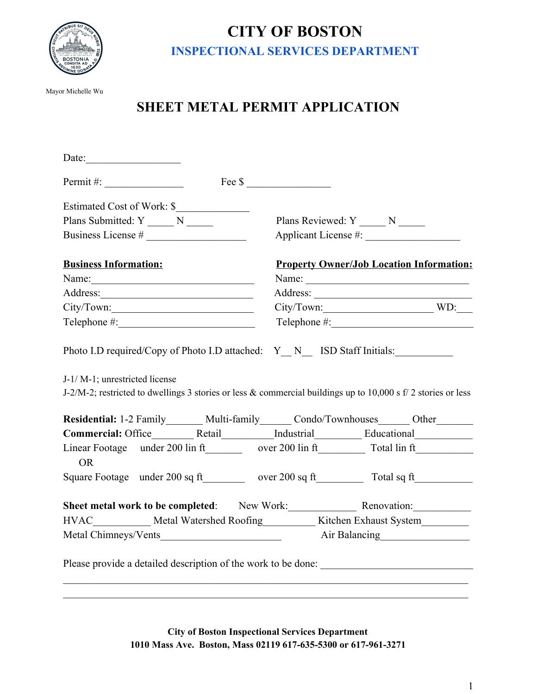

## **CITY OF BOSTON INSPECTIONAL SERVICES DEPARTMENT**

Mayor Michelle Wu

## **SHEET METAL PERMIT APPLICATION**

| Date: $\qquad \qquad$             |                            |                                                                                                                                                                                                          |
|-----------------------------------|----------------------------|----------------------------------------------------------------------------------------------------------------------------------------------------------------------------------------------------------|
| $Permit \#:\_$                    |                            |                                                                                                                                                                                                          |
|                                   | Estimated Cost of Work: \$ |                                                                                                                                                                                                          |
| Plans Submitted: Y ______ N _____ |                            | Plans Reviewed: Y ______ N _____                                                                                                                                                                         |
|                                   |                            |                                                                                                                                                                                                          |
| <b>Business Information:</b>      |                            | <b>Property Owner/Job Location Information:</b>                                                                                                                                                          |
|                                   |                            | Name:                                                                                                                                                                                                    |
|                                   |                            |                                                                                                                                                                                                          |
|                                   |                            |                                                                                                                                                                                                          |
|                                   |                            |                                                                                                                                                                                                          |
|                                   |                            | J-2/M-2; restricted to dwellings 3 stories or less & commercial buildings up to 10,000 s f/ 2 stories or less<br>Residential: 1-2 Family_______ Multi-family_______ Condo/Townhouses_______ Other_______ |
|                                   |                            | Commercial: Office__________Retail___________Industrial______________Educational___________________                                                                                                      |
| <b>OR</b>                         |                            |                                                                                                                                                                                                          |
|                                   |                            | Square Footage under 200 sq ft________ over 200 sq ft_________ Total sq ft________                                                                                                                       |
|                                   |                            | Sheet metal work to be completed: New Work: Renovation:                                                                                                                                                  |
|                                   |                            | HVAC Metal Watershed Roofing Kitchen Exhaust System                                                                                                                                                      |
|                                   |                            | Metal Chimneys/Vents Air Balancing Air Balancing                                                                                                                                                         |
|                                   |                            | Please provide a detailed description of the work to be done:                                                                                                                                            |

**City of Boston Inspectional Services Department 1010 Mass Ave. Boston, Mass 02119 617-635-5300 or 617-961-3271**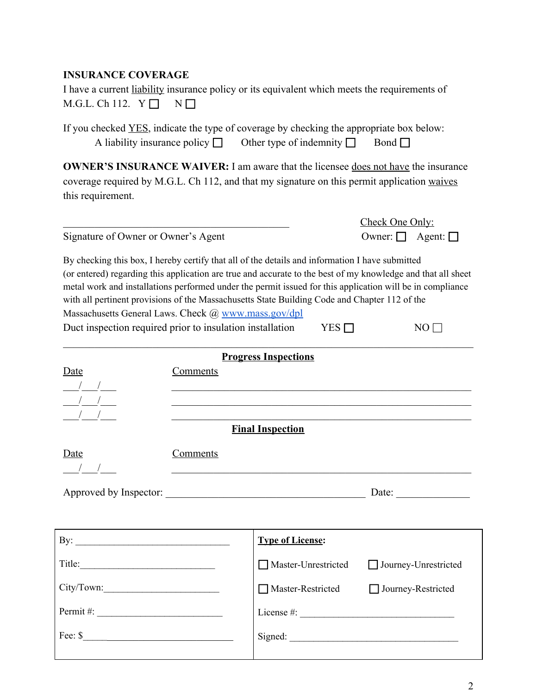## **INSURANCE COVERAGE**

|  | I have a current liability insurance policy or its equivalent which meets the requirements of |  |  |  |
|--|-----------------------------------------------------------------------------------------------|--|--|--|
|  | M.G.L. Ch 112. $Y \Box \quad N \Box$                                                          |  |  |  |

If you checked <u>YES</u>, indicate the type of coverage by checking the appropriate box below: A liability insurance policy  $\Box$  Other type of indemnity  $\Box$  Bond  $\Box$ 

**OWNER'S INSURANCE WAIVER:** I am aware that the licensee does not have the insurance coverage required by M.G.L. Ch 112, and that my signature on this permit application waives this requirement.

| Owner: $\Box$ Agent: $\Box$<br>Signature of Owner or Owner's Agent |  |
|--------------------------------------------------------------------|--|
|--------------------------------------------------------------------|--|

|                                     | Check One Only:             |
|-------------------------------------|-----------------------------|
| Signature of Owner or Owner's Agent | Owner: $\Box$ Agent: $\Box$ |

By checking this box, I hereby certify that all of the details and information I have submitted (or entered) regarding this application are true and accurate to the best of my knowledge and that all sheet metal work and installations performed under the permit issued for this application will be in compliance with all pertinent provisions of the Massachusetts State Building Code and Chapter 112 of the Massachusetts General Laws. Check  $\omega$  [www.mass.gov/dpl](http://www.mass.gov/dpl) Duct inspection required prior to insulation installation YES  $\Box$  NO  $\Box$ 

 $\mathcal{L}_\mathcal{L} = \{ \mathcal{L}_\mathcal{L} = \{ \mathcal{L}_\mathcal{L} = \{ \mathcal{L}_\mathcal{L} = \{ \mathcal{L}_\mathcal{L} = \{ \mathcal{L}_\mathcal{L} = \{ \mathcal{L}_\mathcal{L} = \{ \mathcal{L}_\mathcal{L} = \{ \mathcal{L}_\mathcal{L} = \{ \mathcal{L}_\mathcal{L} = \{ \mathcal{L}_\mathcal{L} = \{ \mathcal{L}_\mathcal{L} = \{ \mathcal{L}_\mathcal{L} = \{ \mathcal{L}_\mathcal{L} = \{ \mathcal{L}_\mathcal{$ 

|                                  |                 | <b>Progress Inspections</b>                                                                                           |                           |
|----------------------------------|-----------------|-----------------------------------------------------------------------------------------------------------------------|---------------------------|
| Date                             | Comments        |                                                                                                                       |                           |
| $\frac{1}{2}$ $\frac{1}{2}$      |                 |                                                                                                                       |                           |
| $\frac{1}{2}$ $\frac{1}{2}$      |                 |                                                                                                                       |                           |
| $\frac{1}{2}$                    |                 |                                                                                                                       |                           |
|                                  |                 | <b>Final Inspection</b>                                                                                               |                           |
| Date                             | <b>Comments</b> |                                                                                                                       |                           |
| $\frac{1}{2}$                    |                 | <u> 1989 - Johann Stoff, deutscher Stoff, der Stoff, der Stoff, der Stoff, der Stoff, der Stoff, der Stoff, der S</u> |                           |
|                                  |                 |                                                                                                                       |                           |
|                                  |                 |                                                                                                                       |                           |
|                                  |                 |                                                                                                                       |                           |
|                                  |                 | <b>Type of License:</b>                                                                                               |                           |
| Title:                           |                 | Master-Unrestricted                                                                                                   | Journey-Unrestricted      |
|                                  |                 | Master-Restricted                                                                                                     | $\Box$ Journey-Restricted |
| Permit #: $\qquad \qquad$        |                 |                                                                                                                       |                           |
| Fee: $\frac{\text{S}}{\text{S}}$ |                 | Signed:                                                                                                               |                           |
|                                  |                 |                                                                                                                       |                           |